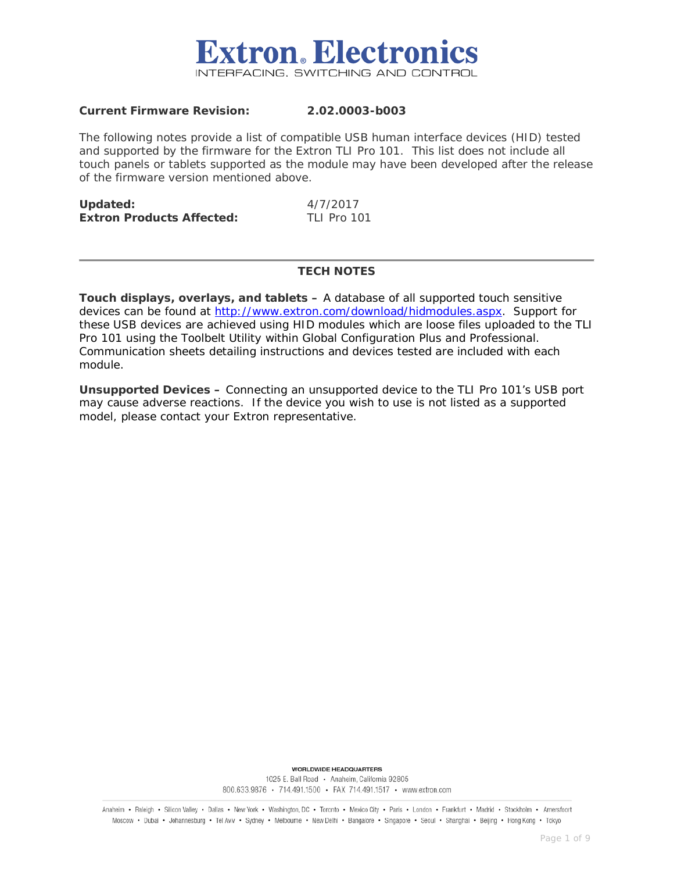

#### **Current Firmware Revision: 2.02.0003-b003**

The following notes provide a list of compatible USB human interface devices (HID) tested and supported by the firmware for the Extron TLI Pro 101. This list does not include all touch panels or tablets supported as the module may have been developed after the release of the firmware version mentioned above.

| Updated:                         | 4/7/2017           |
|----------------------------------|--------------------|
| <b>Extron Products Affected:</b> | <b>TLI Pro 101</b> |

#### **TECH NOTES**

**Touch displays, overlays, and tablets –** A database of all supported touch sensitive devices can be found at [http://www.extron.com/download/hidmodules.aspx.](http://www.extron.com/download/hidmodules.aspx) Support for these USB devices are achieved using HID modules which are loose files uploaded to the TLI Pro 101 using the Toolbelt Utility within Global Configuration Plus and Professional. Communication sheets detailing instructions and devices tested are included with each module.

**Unsupported Devices –** Connecting an unsupported device to the TLI Pro 101's USB port may cause adverse reactions. If the device you wish to use is not listed as a supported model, please contact your Extron representative.

> **WORLDWIDE HEADQUARTERS** 1025 E. Ball Road · Anaheim, California 92805 800.633.9876 · 714.491.1500 · FAX 714.491.1517 · www.extron.com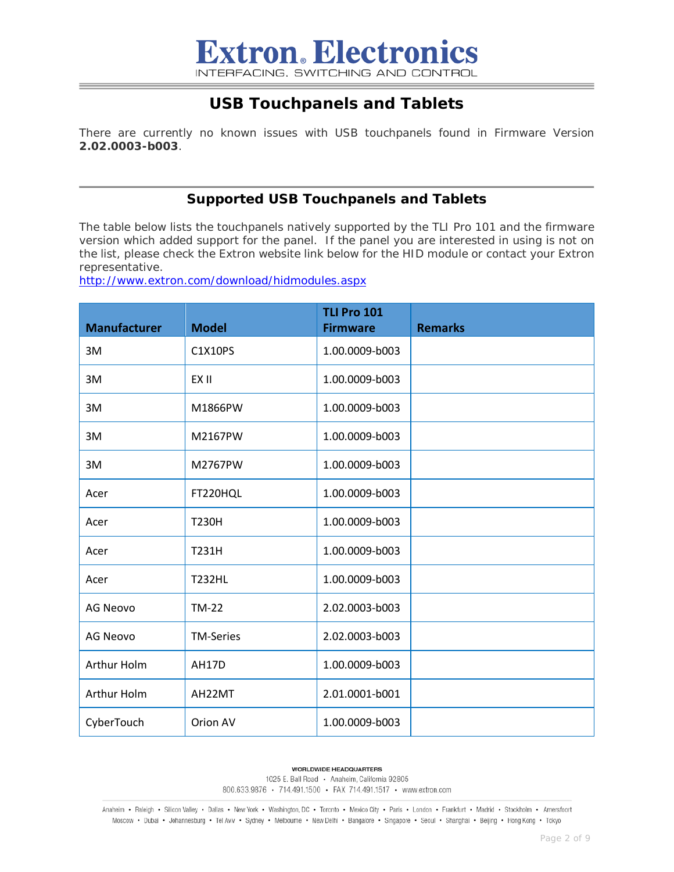## **USB Touchpanels and Tablets**

There are currently no known issues with USB touchpanels found in Firmware Version **2.02.0003-b003**.

#### **Supported USB Touchpanels and Tablets**

The table below lists the touchpanels natively supported by the TLI Pro 101 and the firmware version which added support for the panel. If the panel you are interested in using is not on the list, please check the Extron website link below for the HID module or contact your Extron representative.

<http://www.extron.com/download/hidmodules.aspx>

| <b>Manufacturer</b> | <b>Model</b>     | <b>TLI Pro 101</b><br><b>Firmware</b> | <b>Remarks</b> |
|---------------------|------------------|---------------------------------------|----------------|
| 3M                  | C1X10PS          | 1.00.0009-b003                        |                |
| 3M                  | EX II            | 1.00.0009-b003                        |                |
| 3M                  | M1866PW          | 1.00.0009-b003                        |                |
| 3M                  | M2167PW          | 1.00.0009-b003                        |                |
| 3M                  | M2767PW          | 1.00.0009-b003                        |                |
| Acer                | FT220HQL         | 1.00.0009-b003                        |                |
| Acer                | <b>T230H</b>     | 1.00.0009-b003                        |                |
| Acer                | T231H            | 1.00.0009-b003                        |                |
| Acer                | <b>T232HL</b>    | 1.00.0009-b003                        |                |
| <b>AG Neovo</b>     | <b>TM-22</b>     | 2.02.0003-b003                        |                |
| <b>AG Neovo</b>     | <b>TM-Series</b> | 2.02.0003-b003                        |                |
| Arthur Holm         | <b>AH17D</b>     | 1.00.0009-b003                        |                |
| Arthur Holm         | AH22MT           | 2.01.0001-b001                        |                |
| CyberTouch          | Orion AV         | 1.00.0009-b003                        |                |

**WORLDWIDE HEADQUARTERS** 

1025 E. Ball Road · Anaheim, California 92805 800.633.9876 · 714.491.1500 · FAX 714.491.1517 · www.extron.com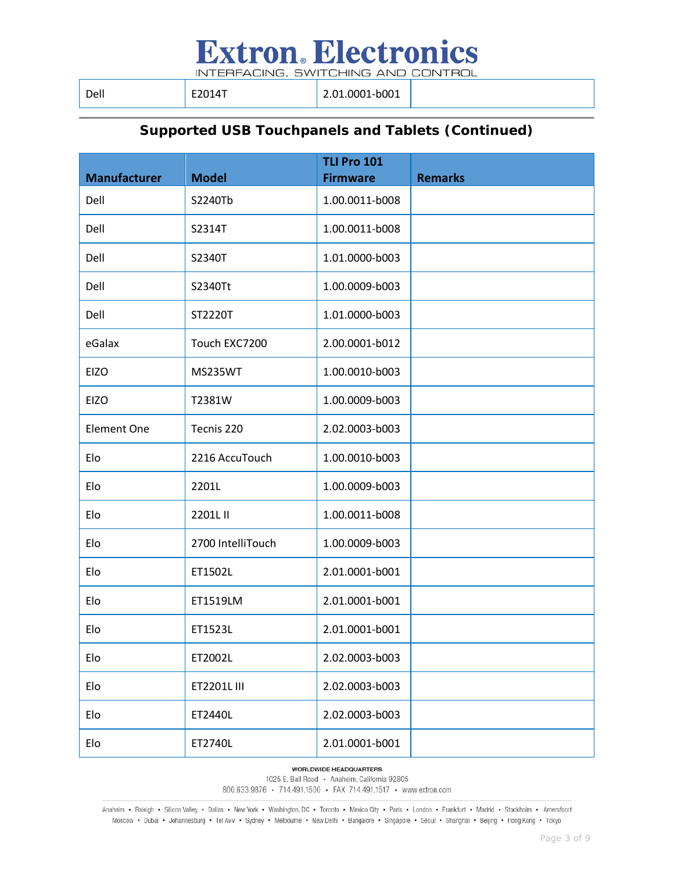INTERFACING, SWITCHING AND CONTROL

| Dell | E2014T | $\vert$ 2.01.0001-b001 |
|------|--------|------------------------|
|      |        |                        |

## **Supported USB Touchpanels and Tablets (Continued)**

|                     |                   | <b>TLI Pro 101</b> |                |
|---------------------|-------------------|--------------------|----------------|
| <b>Manufacturer</b> | <b>Model</b>      | <b>Firmware</b>    | <b>Remarks</b> |
| Dell                | S2240Tb           | 1.00.0011-b008     |                |
| Dell                | S2314T            | 1.00.0011-b008     |                |
| Dell                | S2340T            | 1.01.0000-b003     |                |
| Dell                | S2340Tt           | 1.00.0009-b003     |                |
| Dell                | ST2220T           | 1.01.0000-b003     |                |
| eGalax              | Touch EXC7200     | 2.00.0001-b012     |                |
| <b>EIZO</b>         | MS235WT           | 1.00.0010-b003     |                |
| <b>EIZO</b>         | T2381W            | 1.00.0009-b003     |                |
| <b>Element One</b>  | Tecnis 220        | 2.02.0003-b003     |                |
| Elo                 | 2216 AccuTouch    | 1.00.0010-b003     |                |
| Elo                 | 2201L             | 1.00.0009-b003     |                |
| Elo                 | 2201L II          | 1.00.0011-b008     |                |
| Elo                 | 2700 IntelliTouch | 1.00.0009-b003     |                |
| Elo                 | ET1502L           | 2.01.0001-b001     |                |
| Elo                 | ET1519LM          | 2.01.0001-b001     |                |
| Elo                 | ET1523L           | 2.01.0001-b001     |                |
| Elo                 | ET2002L           | 2.02.0003-b003     |                |
| Elo                 | ET2201L III       | 2.02.0003-b003     |                |
| Elo                 | ET2440L           | 2.02.0003-b003     |                |
| Elo                 | ET2740L           | 2.01.0001-b001     |                |

**WORLDWIDE HEADQUARTERS** 

1025 E. Ball Road · Anaheim, California 92805 800.633.9876 • 714.491.1500 • FAX 714.491.1517 • www.extron.com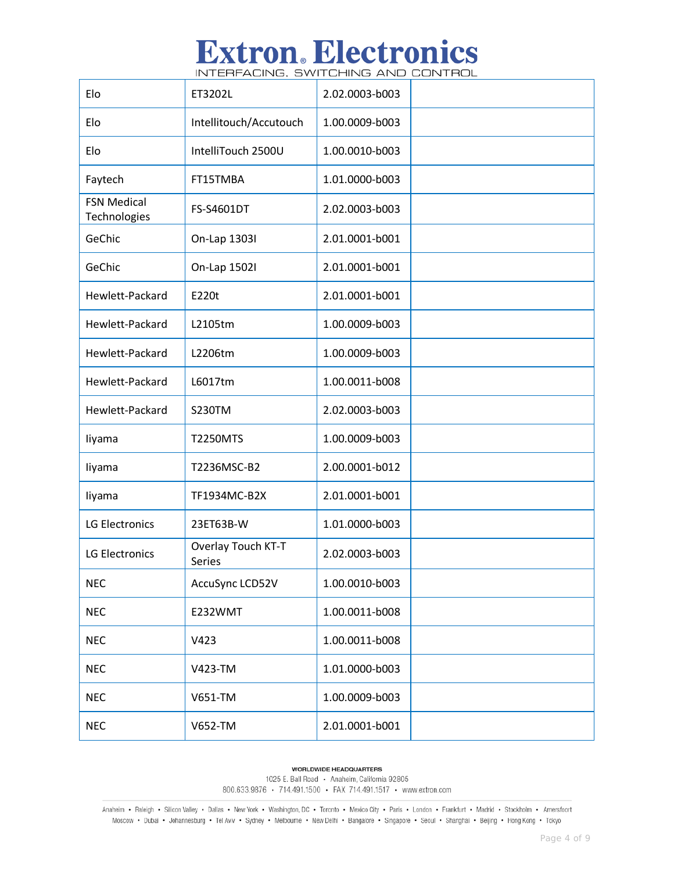INTERFACING, SWITCHING AND CONTROL

| Elo                                | ET3202L                             | 2.02.0003-b003 |  |
|------------------------------------|-------------------------------------|----------------|--|
| Elo                                | Intellitouch/Accutouch              | 1.00.0009-b003 |  |
| Elo                                | IntelliTouch 2500U                  | 1.00.0010-b003 |  |
| Faytech                            | FT15TMBA                            | 1.01.0000-b003 |  |
| <b>FSN Medical</b><br>Technologies | FS-S4601DT                          | 2.02.0003-b003 |  |
| GeChic                             | On-Lap 13031                        | 2.01.0001-b001 |  |
| GeChic                             | On-Lap 15021                        | 2.01.0001-b001 |  |
| Hewlett-Packard                    | E220t                               | 2.01.0001-b001 |  |
| Hewlett-Packard                    | L2105tm                             | 1.00.0009-b003 |  |
| Hewlett-Packard                    | L2206tm                             | 1.00.0009-b003 |  |
| Hewlett-Packard                    | L6017tm                             | 1.00.0011-b008 |  |
| Hewlett-Packard                    | <b>S230TM</b>                       | 2.02.0003-b003 |  |
| liyama                             | <b>T2250MTS</b>                     | 1.00.0009-b003 |  |
| liyama                             | T2236MSC-B2                         | 2.00.0001-b012 |  |
| liyama                             | TF1934MC-B2X                        | 2.01.0001-b001 |  |
| <b>LG Electronics</b>              | 23ET63B-W                           | 1.01.0000-b003 |  |
| <b>LG Electronics</b>              | Overlay Touch KT-T<br><b>Series</b> | 2.02.0003-b003 |  |
| <b>NEC</b>                         | AccuSync LCD52V                     | 1.00.0010-b003 |  |
| <b>NEC</b>                         | E232WMT                             | 1.00.0011-b008 |  |
| <b>NEC</b>                         | V423                                | 1.00.0011-b008 |  |
| <b>NEC</b>                         | V423-TM                             | 1.01.0000-b003 |  |
| <b>NEC</b>                         | V651-TM                             | 1.00.0009-b003 |  |
| <b>NEC</b>                         | V652-TM                             | 2.01.0001-b001 |  |

**WORLDWIDE HEADQUARTERS** 

1025 E. Ball Road · Anaheim, California 92805 800.633.9876 • 714.491.1500 • FAX 714.491.1517 • www.extron.com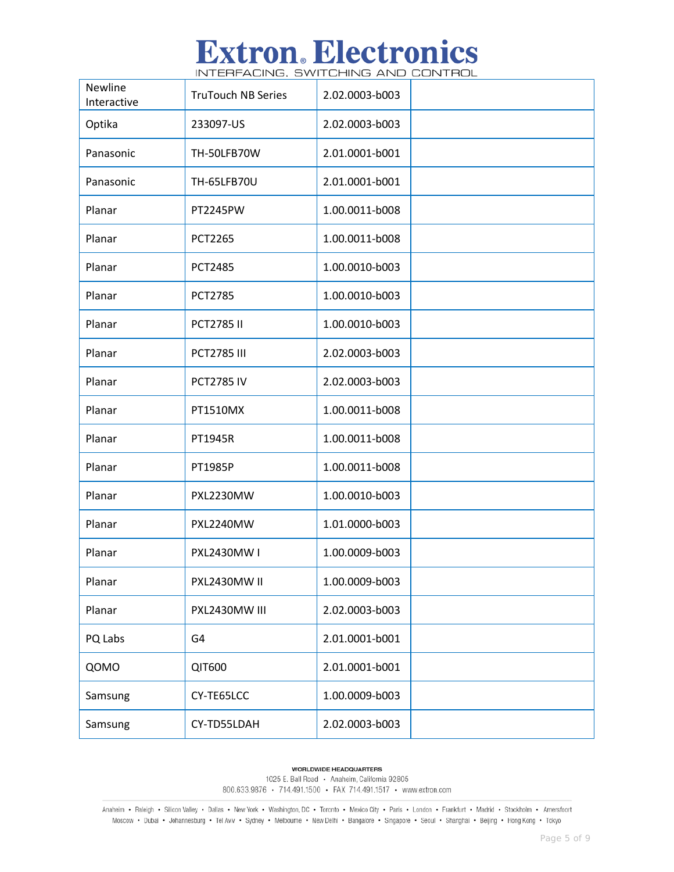INTERFACING, SWITCHING AND CONTROL

| Newline<br>Interactive | <b>TruTouch NB Series</b> | 2.02.0003-b003 |  |
|------------------------|---------------------------|----------------|--|
| Optika                 | 233097-US                 | 2.02.0003-b003 |  |
| Panasonic              | TH-50LFB70W               | 2.01.0001-b001 |  |
| Panasonic              | <b>TH-65LFB70U</b>        | 2.01.0001-b001 |  |
| Planar                 | PT2245PW                  | 1.00.0011-b008 |  |
| Planar                 | <b>PCT2265</b>            | 1.00.0011-b008 |  |
| Planar                 | <b>PCT2485</b>            | 1.00.0010-b003 |  |
| Planar                 | <b>PCT2785</b>            | 1.00.0010-b003 |  |
| Planar                 | <b>PCT2785 II</b>         | 1.00.0010-b003 |  |
| Planar                 | <b>PCT2785 III</b>        | 2.02.0003-b003 |  |
| Planar                 | <b>PCT2785 IV</b>         | 2.02.0003-b003 |  |
| Planar                 | PT1510MX                  | 1.00.0011-b008 |  |
| Planar                 | PT1945R                   | 1.00.0011-b008 |  |
| Planar                 | PT1985P                   | 1.00.0011-b008 |  |
| Planar                 | PXL2230MW                 | 1.00.0010-b003 |  |
| Planar                 | PXL2240MW                 | 1.01.0000-b003 |  |
| Planar                 | PXL2430MW I               | 1.00.0009-b003 |  |
| Planar                 | PXL2430MW II              | 1.00.0009-b003 |  |
| Planar                 | PXL2430MW III             | 2.02.0003-b003 |  |
| PQ Labs                | G4                        | 2.01.0001-b001 |  |
| QOMO                   | QIT600                    | 2.01.0001-b001 |  |
| Samsung                | CY-TE65LCC                | 1.00.0009-b003 |  |
| Samsung                | CY-TD55LDAH               | 2.02.0003-b003 |  |

**WORLDWIDE HEADQUARTERS** 

1025 E. Ball Road · Anaheim, California 92805 800.633.9876 • 714.491.1500 • FAX 714.491.1517 • www.extron.com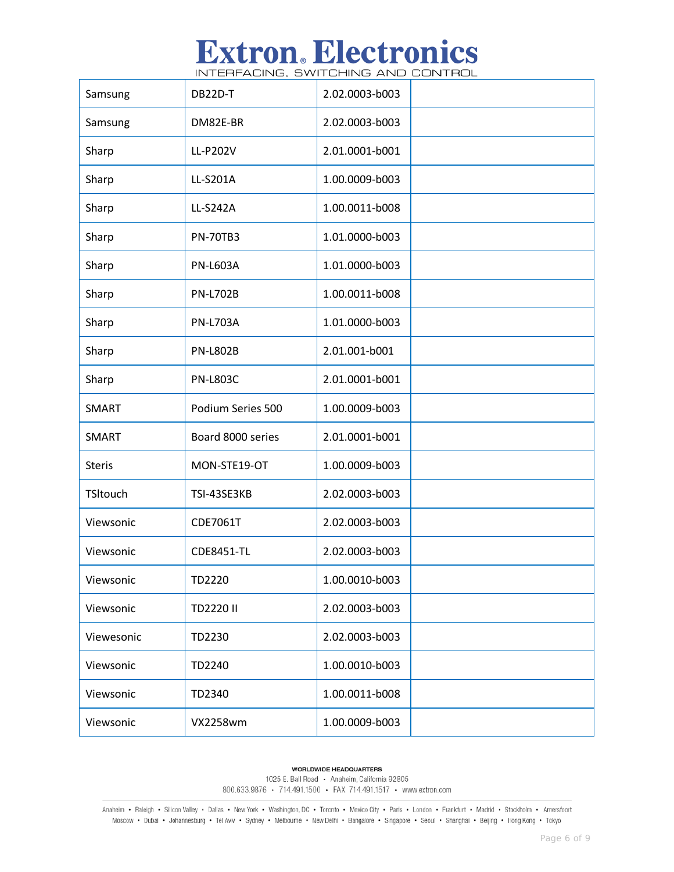INTERFACING, SWITCHING AND CONTROL

| Samsung       | DB22D-T           | 2.02.0003-b003 |  |
|---------------|-------------------|----------------|--|
| Samsung       | DM82E-BR          | 2.02.0003-b003 |  |
| Sharp         | LL-P202V          | 2.01.0001-b001 |  |
| Sharp         | LL-S201A          | 1.00.0009-b003 |  |
| Sharp         | LL-S242A          | 1.00.0011-b008 |  |
| Sharp         | <b>PN-70TB3</b>   | 1.01.0000-b003 |  |
| Sharp         | <b>PN-L603A</b>   | 1.01.0000-b003 |  |
| Sharp         | <b>PN-L702B</b>   | 1.00.0011-b008 |  |
| Sharp         | <b>PN-L703A</b>   | 1.01.0000-b003 |  |
| Sharp         | <b>PN-L802B</b>   | 2.01.001-b001  |  |
| Sharp         | <b>PN-L803C</b>   | 2.01.0001-b001 |  |
| <b>SMART</b>  | Podium Series 500 | 1.00.0009-b003 |  |
| SMART         | Board 8000 series | 2.01.0001-b001 |  |
| <b>Steris</b> | MON-STE19-OT      | 1.00.0009-b003 |  |
| TSItouch      | TSI-43SE3KB       | 2.02.0003-b003 |  |
| Viewsonic     | CDE7061T          | 2.02.0003-b003 |  |
| Viewsonic     | <b>CDE8451-TL</b> | 2.02.0003-b003 |  |
| Viewsonic     | TD2220            | 1.00.0010-b003 |  |
| Viewsonic     | TD2220 II         | 2.02.0003-b003 |  |
| Viewesonic    | TD2230            | 2.02.0003-b003 |  |
| Viewsonic     | TD2240            | 1.00.0010-b003 |  |
| Viewsonic     | TD2340            | 1.00.0011-b008 |  |
| Viewsonic     | <b>VX2258wm</b>   | 1.00.0009-b003 |  |

**WORLDWIDE HEADQUARTERS** 

1025 E. Ball Road · Anaheim, California 92805 800.633.9876 • 714.491.1500 • FAX 714.491.1517 • www.extron.com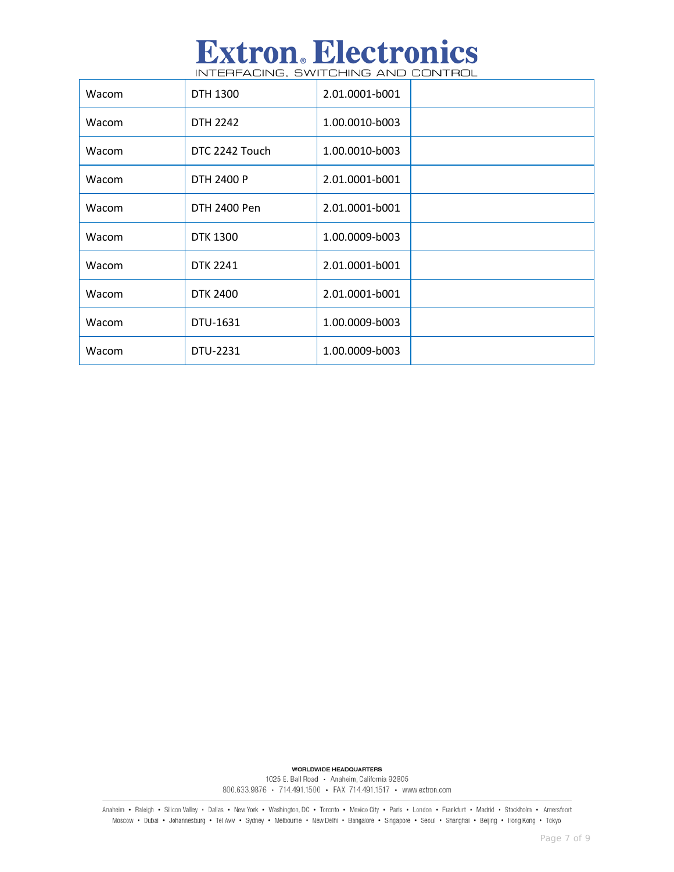| <b>Extron. Electronics</b>         |  |
|------------------------------------|--|
| INTERFACING. SWITCHING AND CONTROL |  |

| Wacom | DTH 1300        | 2.01.0001-b001 |  |
|-------|-----------------|----------------|--|
| Wacom | DTH 2242        | 1.00.0010-b003 |  |
| Wacom | DTC 2242 Touch  | 1.00.0010-b003 |  |
| Wacom | DTH 2400 P      | 2.01.0001-b001 |  |
| Wacom | DTH 2400 Pen    | 2.01.0001-b001 |  |
| Wacom | <b>DTK 1300</b> | 1.00.0009-b003 |  |
| Wacom | <b>DTK 2241</b> | 2.01.0001-b001 |  |
| Wacom | <b>DTK 2400</b> | 2.01.0001-b001 |  |
| Wacom | DTU-1631        | 1.00.0009-b003 |  |
| Wacom | DTU-2231        | 1.00.0009-b003 |  |

**WORLDWIDE HEADQUARTERS** 

1025 E. Ball Road · Anaheim, California 92805 800.633.9876 • 714.491.1500 • FAX 714.491.1517 • www.extron.com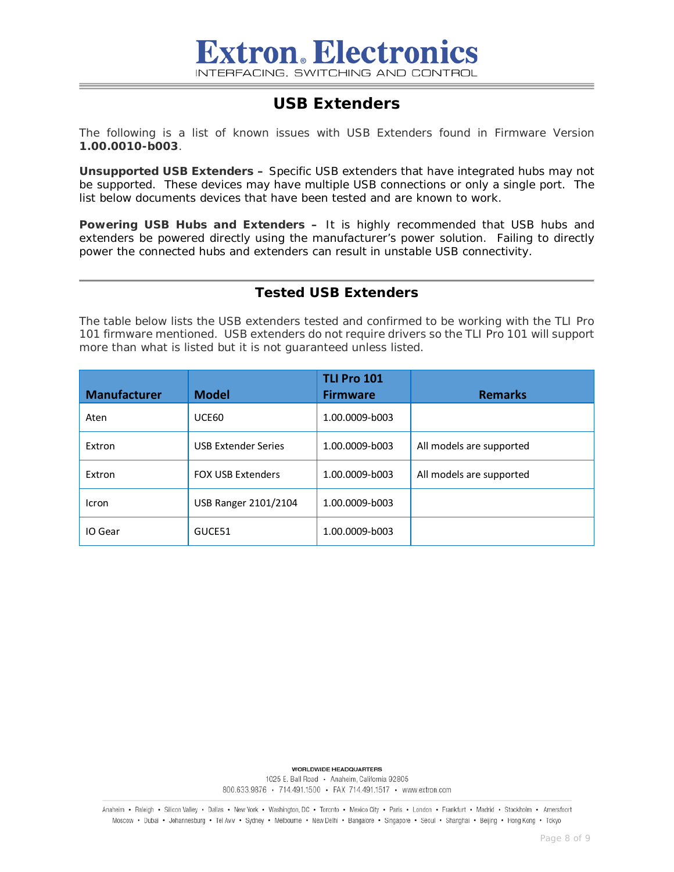## **USB Extenders**

The following is a list of known issues with USB Extenders found in Firmware Version **1.00.0010-b003**.

**Unsupported USB Extenders –** Specific USB extenders that have integrated hubs may not be supported. These devices may have multiple USB connections or only a single port. The list below documents devices that have been tested and are known to work.

**Powering USB Hubs and Extenders –** It is highly recommended that USB hubs and extenders be powered directly using the manufacturer's power solution. Failing to directly power the connected hubs and extenders can result in unstable USB connectivity.

### **Tested USB Extenders**

The table below lists the USB extenders tested and confirmed to be working with the TLI Pro 101 firmware mentioned. USB extenders do not require drivers so the TLI Pro 101 will support more than what is listed but it is not guaranteed unless listed.

| <b>Manufacturer</b> | <b>Model</b>               | <b>TLI Pro 101</b><br><b>Firmware</b> | <b>Remarks</b>           |
|---------------------|----------------------------|---------------------------------------|--------------------------|
| Aten                | UCE60                      | 1.00.0009-b003                        |                          |
| Extron              | <b>USB Extender Series</b> | 1.00.0009-b003                        | All models are supported |
| Extron              | <b>FOX USB Extenders</b>   | 1.00.0009-b003                        | All models are supported |
| Icron               | USB Ranger 2101/2104       | 1.00.0009-b003                        |                          |
| IO Gear             | GUCE51                     | 1.00.0009-b003                        |                          |

**WORLDWIDE HEADQUARTERS** 

1025 E. Ball Road · Anaheim, California 92805 800.633.9876 • 714.491.1500 • FAX 714.491.1517 • www.extron.com